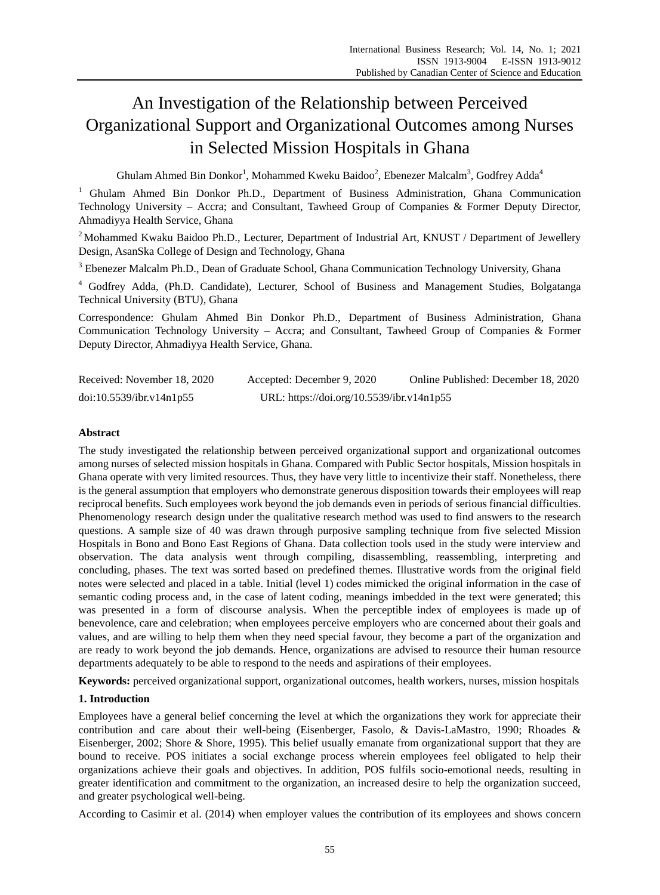# An Investigation of the Relationship between Perceived Organizational Support and Organizational Outcomes among Nurses in Selected Mission Hospitals in Ghana

Ghulam Ahmed Bin Donkor<sup>1</sup>, Mohammed Kweku Baidoo<sup>2</sup>, Ebenezer Malcalm<sup>3</sup>, Godfrey Adda<sup>4</sup>

<sup>1</sup> Ghulam Ahmed Bin Donkor Ph.D., Department of Business Administration, Ghana Communication Technology University – Accra; and Consultant, Tawheed Group of Companies & Former Deputy Director, Ahmadiyya Health Service, Ghana

<sup>2</sup> Mohammed Kwaku Baidoo Ph.D., Lecturer, Department of Industrial Art, KNUST / Department of Jewellery Design, AsanSka College of Design and Technology, Ghana

<sup>3</sup> Ebenezer Malcalm Ph.D., Dean of Graduate School, Ghana Communication Technology University, Ghana

<sup>4</sup> Godfrey Adda, (Ph.D. Candidate), Lecturer, School of Business and Management Studies, Bolgatanga Technical University (BTU), Ghana

Correspondence: Ghulam Ahmed Bin Donkor Ph.D., Department of Business Administration, Ghana Communication Technology University – Accra; and Consultant, Tawheed Group of Companies & Former Deputy Director, Ahmadiyya Health Service, Ghana.

| Received: November 18, 2020 | Accepted: December 9, 2020                | Online Published: December 18, 2020 |
|-----------------------------|-------------------------------------------|-------------------------------------|
| doi:10.5539/ibr.v14n1p55    | URL: https://doi.org/10.5539/ibr.v14n1p55 |                                     |

## **Abstract**

The study investigated the relationship between perceived organizational support and organizational outcomes among nurses of selected mission hospitals in Ghana. Compared with Public Sector hospitals, Mission hospitals in Ghana operate with very limited resources. Thus, they have very little to incentivize their staff. Nonetheless, there is the general assumption that employers who demonstrate generous disposition towards their employees will reap reciprocal benefits. Such employees work beyond the job demands even in periods of serious financial difficulties. Phenomenology research design under the qualitative research method was used to find answers to the research questions. A sample size of 40 was drawn through purposive sampling technique from five selected Mission Hospitals in Bono and Bono East Regions of Ghana. Data collection tools used in the study were interview and observation. The data analysis went through compiling, disassembling, reassembling, interpreting and concluding, phases. The text was sorted based on predefined themes. Illustrative words from the original field notes were selected and placed in a table. Initial (level 1) codes mimicked the original information in the case of semantic coding process and, in the case of latent coding, meanings imbedded in the text were generated; this was presented in a form of discourse analysis. When the perceptible index of employees is made up of benevolence, care and celebration; when employees perceive employers who are concerned about their goals and values, and are willing to help them when they need special favour, they become a part of the organization and are ready to work beyond the job demands. Hence, organizations are advised to resource their human resource departments adequately to be able to respond to the needs and aspirations of their employees.

**Keywords:** perceived organizational support, organizational outcomes, health workers, nurses, mission hospitals

# **1. Introduction**

Employees have a general belief concerning the level at which the organizations they work for appreciate their contribution and care about their well-being (Eisenberger, Fasolo, & Davis-LaMastro, 1990; Rhoades & Eisenberger, 2002; Shore & Shore, 1995). This belief usually emanate from organizational support that they are bound to receive. POS initiates a social exchange process wherein employees feel obligated to help their organizations achieve their goals and objectives. In addition, POS fulfils socio-emotional needs, resulting in greater identification and commitment to the organization, an increased desire to help the organization succeed, and greater psychological well-being.

According to Casimir et al. (2014) when employer values the contribution of its employees and shows concern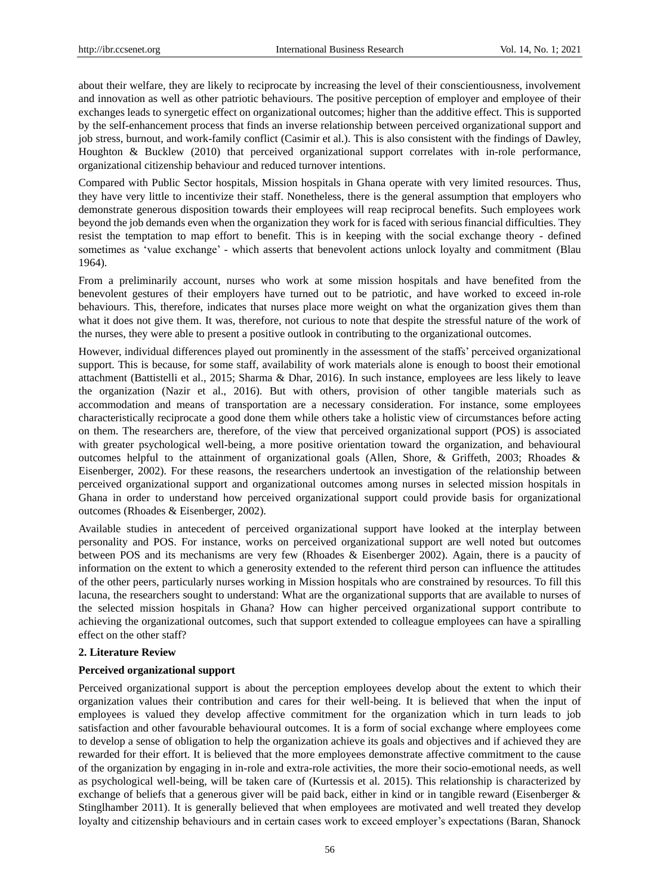about their welfare, they are likely to reciprocate by increasing the level of their conscientiousness, involvement and innovation as well as other patriotic behaviours. The positive perception of employer and employee of their exchanges leads to synergetic effect on organizational outcomes; higher than the additive effect. This is supported by the self-enhancement process that finds an inverse relationship between perceived organizational support and job stress, burnout, and work-family conflict (Casimir et al.). This is also consistent with the findings of Dawley, Houghton & Bucklew (2010) that perceived organizational support correlates with in-role performance, organizational citizenship behaviour and reduced turnover intentions.

Compared with Public Sector hospitals, Mission hospitals in Ghana operate with very limited resources. Thus, they have very little to incentivize their staff. Nonetheless, there is the general assumption that employers who demonstrate generous disposition towards their employees will reap reciprocal benefits. Such employees work beyond the job demands even when the organization they work for is faced with serious financial difficulties. They resist the temptation to map effort to benefit. This is in keeping with the social exchange theory - defined sometimes as 'value exchange' - which asserts that benevolent actions unlock loyalty and commitment (Blau 1964).

From a preliminarily account, nurses who work at some mission hospitals and have benefited from the benevolent gestures of their employers have turned out to be patriotic, and have worked to exceed in-role behaviours. This, therefore, indicates that nurses place more weight on what the organization gives them than what it does not give them. It was, therefore, not curious to note that despite the stressful nature of the work of the nurses, they were able to present a positive outlook in contributing to the organizational outcomes.

However, individual differences played out prominently in the assessment of the staffs" perceived organizational support. This is because, for some staff, availability of work materials alone is enough to boost their emotional attachment (Battistelli et al., 2015; Sharma & Dhar, 2016). In such instance, employees are less likely to leave the organization (Nazir et al., 2016). But with others, provision of other tangible materials such as accommodation and means of transportation are a necessary consideration. For instance, some employees characteristically reciprocate a good done them while others take a holistic view of circumstances before acting on them. The researchers are, therefore, of the view that perceived organizational support (POS) is associated with greater psychological well-being, a more positive orientation toward the organization, and behavioural outcomes helpful to the attainment of organizational goals (Allen, Shore, & Griffeth, 2003; Rhoades & Eisenberger, 2002). For these reasons, the researchers undertook an investigation of the relationship between perceived organizational support and organizational outcomes among nurses in selected mission hospitals in Ghana in order to understand how perceived organizational support could provide basis for organizational outcomes (Rhoades & Eisenberger, 2002).

Available studies in antecedent of perceived organizational support have looked at the interplay between personality and POS. For instance, works on perceived organizational support are well noted but outcomes between POS and its mechanisms are very few (Rhoades & Eisenberger 2002). Again, there is a paucity of information on the extent to which a generosity extended to the referent third person can influence the attitudes of the other peers, particularly nurses working in Mission hospitals who are constrained by resources. To fill this lacuna, the researchers sought to understand: What are the organizational supports that are available to nurses of the selected mission hospitals in Ghana? How can higher perceived organizational support contribute to achieving the organizational outcomes, such that support extended to colleague employees can have a spiralling effect on the other staff?

## **2. Literature Review**

## **Perceived organizational support**

Perceived organizational support is about the perception employees develop about the extent to which their organization values their contribution and cares for their well-being. It is believed that when the input of employees is valued they develop affective commitment for the organization which in turn leads to job satisfaction and other favourable behavioural outcomes. It is a form of social exchange where employees come to develop a sense of obligation to help the organization achieve its goals and objectives and if achieved they are rewarded for their effort. It is believed that the more employees demonstrate affective commitment to the cause of the organization by engaging in in-role and extra-role activities, the more their socio-emotional needs, as well as psychological well-being, will be taken care of (Kurtessis et al. 2015). This relationship is characterized by exchange of beliefs that a generous giver will be paid back, either in kind or in tangible reward (Eisenberger & Stinglhamber 2011). It is generally believed that when employees are motivated and well treated they develop loyalty and citizenship behaviours and in certain cases work to exceed employer's expectations (Baran, Shanock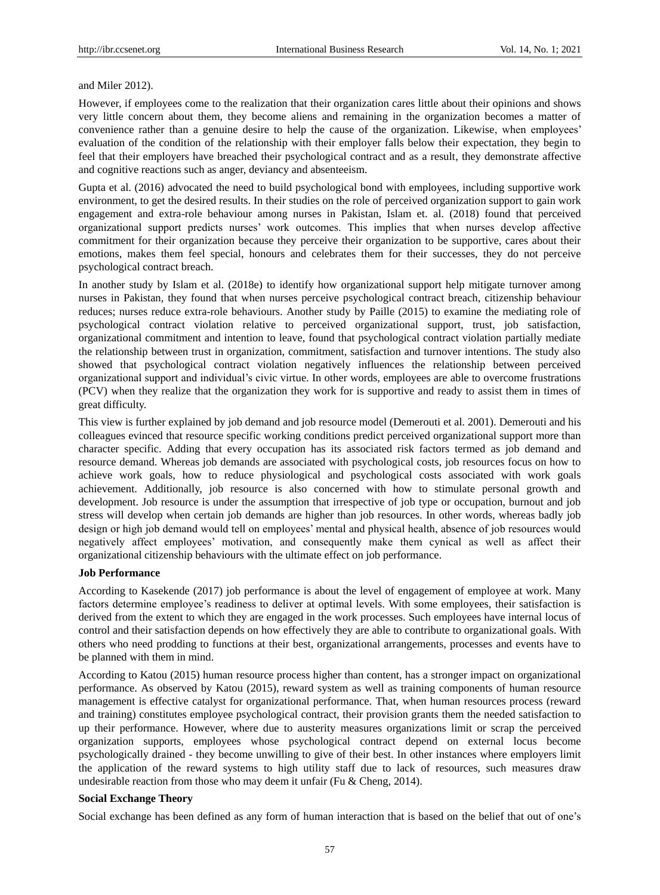#### and Miler 2012).

However, if employees come to the realization that their organization cares little about their opinions and shows very little concern about them, they become aliens and remaining in the organization becomes a matter of convenience rather than a genuine desire to help the cause of the organization. Likewise, when employees" evaluation of the condition of the relationship with their employer falls below their expectation, they begin to feel that their employers have breached their psychological contract and as a result, they demonstrate affective and cognitive reactions such as anger, deviancy and absenteeism.

Gupta et al. (2016) advocated the need to build psychological bond with employees, including supportive work environment, to get the desired results. In their studies on the role of perceived organization support to gain work engagement and extra-role behaviour among nurses in Pakistan, Islam et. al. (2018) found that perceived organizational support predicts nurses" work outcomes. This implies that when nurses develop affective commitment for their organization because they perceive their organization to be supportive, cares about their emotions, makes them feel special, honours and celebrates them for their successes, they do not perceive psychological contract breach.

In another study by Islam et al. (2018e) to identify how organizational support help mitigate turnover among nurses in Pakistan, they found that when nurses perceive psychological contract breach, citizenship behaviour reduces; nurses reduce extra-role behaviours. Another study by Paille (2015) to examine the mediating role of psychological contract violation relative to perceived organizational support, trust, job satisfaction, organizational commitment and intention to leave, found that psychological contract violation partially mediate the relationship between trust in organization, commitment, satisfaction and turnover intentions. The study also showed that psychological contract violation negatively influences the relationship between perceived organizational support and individual"s civic virtue. In other words, employees are able to overcome frustrations (PCV) when they realize that the organization they work for is supportive and ready to assist them in times of great difficulty.

This view is further explained by job demand and job resource model (Demerouti et al. 2001). Demerouti and his colleagues evinced that resource specific working conditions predict perceived organizational support more than character specific. Adding that every occupation has its associated risk factors termed as job demand and resource demand. Whereas job demands are associated with psychological costs, job resources focus on how to achieve work goals, how to reduce physiological and psychological costs associated with work goals achievement. Additionally, job resource is also concerned with how to stimulate personal growth and development. Job resource is under the assumption that irrespective of job type or occupation, burnout and job stress will develop when certain job demands are higher than job resources. In other words, whereas badly job design or high job demand would tell on employees' mental and physical health, absence of job resources would negatively affect employees" motivation, and consequently make them cynical as well as affect their organizational citizenship behaviours with the ultimate effect on job performance.

## **Job Performance**

According to Kasekende (2017) job performance is about the level of engagement of employee at work. Many factors determine employee's readiness to deliver at optimal levels. With some employees, their satisfaction is derived from the extent to which they are engaged in the work processes. Such employees have internal locus of control and their satisfaction depends on how effectively they are able to contribute to organizational goals. With others who need prodding to functions at their best, organizational arrangements, processes and events have to be planned with them in mind.

According to Katou (2015) human resource process higher than content, has a stronger impact on organizational performance. As observed by Katou (2015), reward system as well as training components of human resource management is effective catalyst for organizational performance. That, when human resources process (reward and training) constitutes employee psychological contract, their provision grants them the needed satisfaction to up their performance. However, where due to austerity measures organizations limit or scrap the perceived organization supports, employees whose psychological contract depend on external locus become psychologically drained - they become unwilling to give of their best. In other instances where employers limit the application of the reward systems to high utility staff due to lack of resources, such measures draw undesirable reaction from those who may deem it unfair (Fu & Cheng, 2014).

#### **Social Exchange Theory**

Social exchange has been defined as any form of human interaction that is based on the belief that out of one"s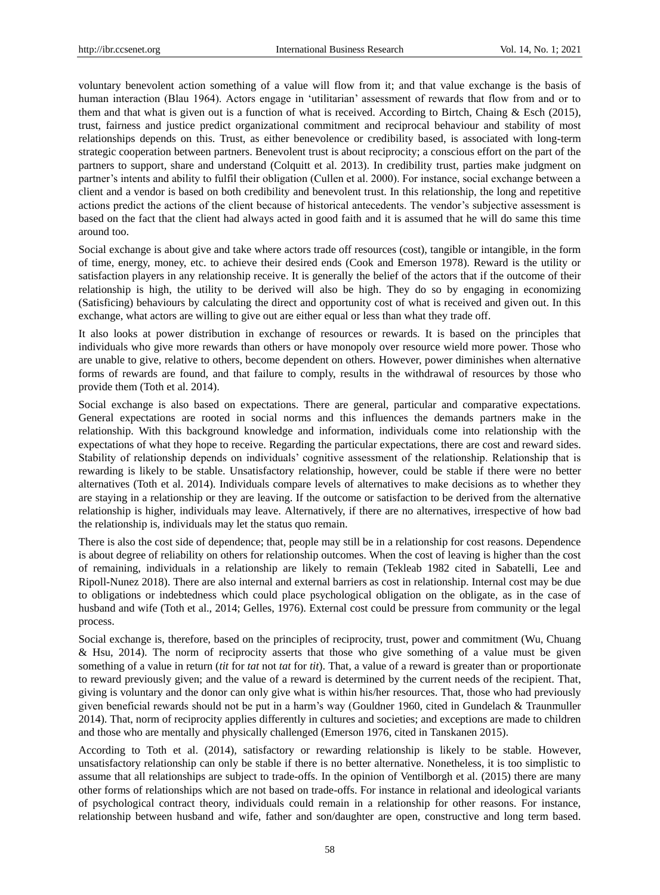voluntary benevolent action something of a value will flow from it; and that value exchange is the basis of human interaction (Blau 1964). Actors engage in "utilitarian" assessment of rewards that flow from and or to them and that what is given out is a function of what is received. According to Birtch, Chaing & Esch (2015), trust, fairness and justice predict organizational commitment and reciprocal behaviour and stability of most relationships depends on this. Trust, as either benevolence or credibility based, is associated with long-term strategic cooperation between partners. Benevolent trust is about reciprocity; a conscious effort on the part of the partners to support, share and understand (Colquitt et al. 2013). In credibility trust, parties make judgment on partner"s intents and ability to fulfil their obligation (Cullen et al. 2000). For instance, social exchange between a client and a vendor is based on both credibility and benevolent trust. In this relationship, the long and repetitive actions predict the actions of the client because of historical antecedents. The vendor"s subjective assessment is based on the fact that the client had always acted in good faith and it is assumed that he will do same this time around too.

Social exchange is about give and take where actors trade off resources (cost), tangible or intangible, in the form of time, energy, money, etc. to achieve their desired ends (Cook and Emerson 1978). Reward is the utility or satisfaction players in any relationship receive. It is generally the belief of the actors that if the outcome of their relationship is high, the utility to be derived will also be high. They do so by engaging in economizing (Satisficing) behaviours by calculating the direct and opportunity cost of what is received and given out. In this exchange, what actors are willing to give out are either equal or less than what they trade off.

It also looks at power distribution in exchange of resources or rewards. It is based on the principles that individuals who give more rewards than others or have monopoly over resource wield more power. Those who are unable to give, relative to others, become dependent on others. However, power diminishes when alternative forms of rewards are found, and that failure to comply, results in the withdrawal of resources by those who provide them (Toth et al. 2014).

Social exchange is also based on expectations. There are general, particular and comparative expectations. General expectations are rooted in social norms and this influences the demands partners make in the relationship. With this background knowledge and information, individuals come into relationship with the expectations of what they hope to receive. Regarding the particular expectations, there are cost and reward sides. Stability of relationship depends on individuals" cognitive assessment of the relationship. Relationship that is rewarding is likely to be stable. Unsatisfactory relationship, however, could be stable if there were no better alternatives (Toth et al. 2014). Individuals compare levels of alternatives to make decisions as to whether they are staying in a relationship or they are leaving. If the outcome or satisfaction to be derived from the alternative relationship is higher, individuals may leave. Alternatively, if there are no alternatives, irrespective of how bad the relationship is, individuals may let the status quo remain.

There is also the cost side of dependence; that, people may still be in a relationship for cost reasons. Dependence is about degree of reliability on others for relationship outcomes. When the cost of leaving is higher than the cost of remaining, individuals in a relationship are likely to remain (Tekleab 1982 cited in Sabatelli, Lee and Ripoll-Nunez 2018). There are also internal and external barriers as cost in relationship. Internal cost may be due to obligations or indebtedness which could place psychological obligation on the obligate, as in the case of husband and wife (Toth et al., 2014; Gelles, 1976). External cost could be pressure from community or the legal process.

Social exchange is, therefore, based on the principles of reciprocity, trust, power and commitment (Wu, Chuang & Hsu, 2014). The norm of reciprocity asserts that those who give something of a value must be given something of a value in return (*tit* for *tat* not *tat* for *tit*). That, a value of a reward is greater than or proportionate to reward previously given; and the value of a reward is determined by the current needs of the recipient. That, giving is voluntary and the donor can only give what is within his/her resources. That, those who had previously given beneficial rewards should not be put in a harm"s way (Gouldner 1960, cited in Gundelach & Traunmuller 2014). That, norm of reciprocity applies differently in cultures and societies; and exceptions are made to children and those who are mentally and physically challenged (Emerson 1976, cited in Tanskanen 2015).

According to Toth et al. (2014), satisfactory or rewarding relationship is likely to be stable. However, unsatisfactory relationship can only be stable if there is no better alternative. Nonetheless, it is too simplistic to assume that all relationships are subject to trade-offs. In the opinion of Ventilborgh et al. (2015) there are many other forms of relationships which are not based on trade-offs. For instance in relational and ideological variants of psychological contract theory, individuals could remain in a relationship for other reasons. For instance, relationship between husband and wife, father and son/daughter are open, constructive and long term based.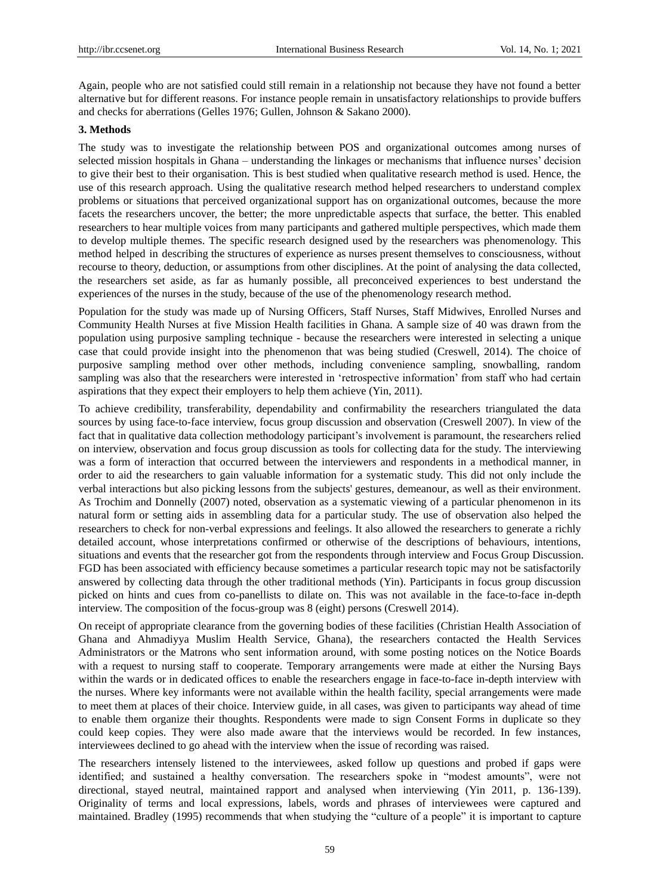Again, people who are not satisfied could still remain in a relationship not because they have not found a better alternative but for different reasons. For instance people remain in unsatisfactory relationships to provide buffers and checks for aberrations (Gelles 1976; Gullen, Johnson & Sakano 2000).

#### **3. Methods**

The study was to investigate the relationship between POS and organizational outcomes among nurses of selected mission hospitals in Ghana – understanding the linkages or mechanisms that influence nurses" decision to give their best to their organisation. This is best studied when qualitative research method is used. Hence, the use of this research approach. Using the qualitative research method helped researchers to understand complex problems or situations that perceived organizational support has on organizational outcomes, because the more facets the researchers uncover, the better; the more unpredictable aspects that surface, the better. This enabled researchers to hear multiple voices from many participants and gathered multiple perspectives, which made them to develop multiple themes. The specific research designed used by the researchers was phenomenology. This method helped in describing the structures of experience as nurses present themselves to consciousness, without recourse to theory, deduction, or assumptions from other disciplines. At the point of analysing the data collected, the researchers set aside, as far as humanly possible, all preconceived experiences to best understand the experiences of the nurses in the study, because of the use of the phenomenology research method.

Population for the study was made up of Nursing Officers, Staff Nurses, Staff Midwives, Enrolled Nurses and Community Health Nurses at five Mission Health facilities in Ghana. A sample size of 40 was drawn from the population using purposive sampling technique - because the researchers were interested in selecting a unique case that could provide insight into the phenomenon that was being studied (Creswell, 2014). The choice of purposive sampling method over other methods, including convenience sampling, snowballing, random sampling was also that the researchers were interested in "retrospective information" from staff who had certain aspirations that they expect their employers to help them achieve (Yin, 2011).

To achieve credibility, transferability, dependability and confirmability the researchers triangulated the data sources by using face-to-face interview, focus group discussion and observation (Creswell 2007). In view of the fact that in qualitative data collection methodology participant"s involvement is paramount, the researchers relied on interview, observation and focus group discussion as tools for collecting data for the study. The interviewing was a form of interaction that occurred between the interviewers and respondents in a methodical manner, in order to aid the researchers to gain valuable information for a systematic study. This did not only include the verbal interactions but also picking lessons from the subjects' gestures, demeanour, as well as their environment. As Trochim and Donnelly (2007) noted, observation as a systematic viewing of a particular phenomenon in its natural form or setting aids in assembling data for a particular study. The use of observation also helped the researchers to check for non-verbal expressions and feelings. It also allowed the researchers to generate a richly detailed account, whose interpretations confirmed or otherwise of the descriptions of behaviours, intentions, situations and events that the researcher got from the respondents through interview and Focus Group Discussion. FGD has been associated with efficiency because sometimes a particular research topic may not be satisfactorily answered by collecting data through the other traditional methods (Yin). Participants in focus group discussion picked on hints and cues from co-panellists to dilate on. This was not available in the face-to-face in-depth interview. The composition of the focus-group was 8 (eight) persons (Creswell 2014).

On receipt of appropriate clearance from the governing bodies of these facilities (Christian Health Association of Ghana and Ahmadiyya Muslim Health Service, Ghana), the researchers contacted the Health Services Administrators or the Matrons who sent information around, with some posting notices on the Notice Boards with a request to nursing staff to cooperate. Temporary arrangements were made at either the Nursing Bays within the wards or in dedicated offices to enable the researchers engage in face-to-face in-depth interview with the nurses. Where key informants were not available within the health facility, special arrangements were made to meet them at places of their choice. Interview guide, in all cases, was given to participants way ahead of time to enable them organize their thoughts. Respondents were made to sign Consent Forms in duplicate so they could keep copies. They were also made aware that the interviews would be recorded. In few instances, interviewees declined to go ahead with the interview when the issue of recording was raised.

The researchers intensely listened to the interviewees, asked follow up questions and probed if gaps were identified; and sustained a healthy conversation. The researchers spoke in "modest amounts", were not directional, stayed neutral, maintained rapport and analysed when interviewing (Yin 2011, p. 136-139). Originality of terms and local expressions, labels, words and phrases of interviewees were captured and maintained. Bradley (1995) recommends that when studying the "culture of a people" it is important to capture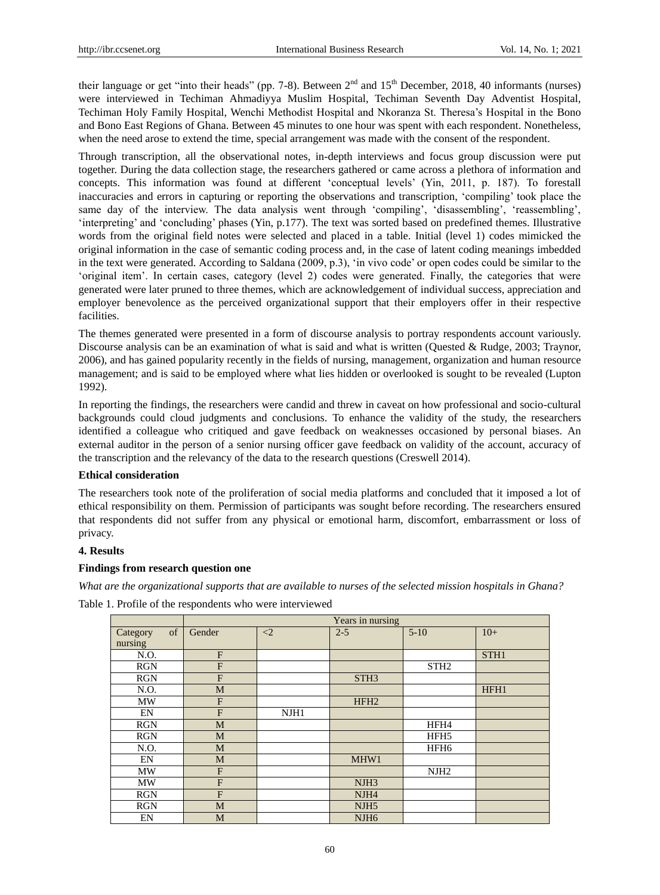their language or get "into their heads" (pp. 7-8). Between  $2<sup>nd</sup>$  and  $15<sup>th</sup>$  December, 2018, 40 informants (nurses) were interviewed in Techiman Ahmadiyya Muslim Hospital, Techiman Seventh Day Adventist Hospital, Techiman Holy Family Hospital, Wenchi Methodist Hospital and Nkoranza St. Theresa"s Hospital in the Bono and Bono East Regions of Ghana. Between 45 minutes to one hour was spent with each respondent. Nonetheless, when the need arose to extend the time, special arrangement was made with the consent of the respondent.

Through transcription, all the observational notes, in-depth interviews and focus group discussion were put together. During the data collection stage, the researchers gathered or came across a plethora of information and concepts. This information was found at different "conceptual levels" (Yin, 2011, p. 187). To forestall inaccuracies and errors in capturing or reporting the observations and transcription, "compiling" took place the same day of the interview. The data analysis went through "compiling", "disassembling", "reassembling", "interpreting" and "concluding" phases (Yin, p.177). The text was sorted based on predefined themes. Illustrative words from the original field notes were selected and placed in a table. Initial (level 1) codes mimicked the original information in the case of semantic coding process and, in the case of latent coding meanings imbedded in the text were generated. According to Saldana (2009, p.3), "in vivo code" or open codes could be similar to the "original item". In certain cases, category (level 2) codes were generated. Finally, the categories that were generated were later pruned to three themes, which are acknowledgement of individual success, appreciation and employer benevolence as the perceived organizational support that their employers offer in their respective facilities.

The themes generated were presented in a form of discourse analysis to portray respondents account variously. Discourse analysis can be an examination of what is said and what is written (Quested & Rudge, 2003; Traynor, 2006), and has gained popularity recently in the fields of nursing, management, organization and human resource management; and is said to be employed where what lies hidden or overlooked is sought to be revealed (Lupton 1992).

In reporting the findings, the researchers were candid and threw in caveat on how professional and socio-cultural backgrounds could cloud judgments and conclusions. To enhance the validity of the study, the researchers identified a colleague who critiqued and gave feedback on weaknesses occasioned by personal biases. An external auditor in the person of a senior nursing officer gave feedback on validity of the account, accuracy of the transcription and the relevancy of the data to the research questions (Creswell 2014).

## **Ethical consideration**

The researchers took note of the proliferation of social media platforms and concluded that it imposed a lot of ethical responsibility on them. Permission of participants was sought before recording. The researchers ensured that respondents did not suffer from any physical or emotional harm, discomfort, embarrassment or loss of privacy.

#### **4. Results**

#### **Findings from research question one**

*What are the organizational supports that are available to nurses of the selected mission hospitals in Ghana?*

Table 1. Profile of the respondents who were interviewed

|                            | Years in nursing |          |                  |                  |                  |  |
|----------------------------|------------------|----------|------------------|------------------|------------------|--|
| of<br>Category<br>nursing  | Gender           | $\leq$ 2 | $2 - 5$          | $5-10$           | $10+$            |  |
| N.O.                       | F                |          |                  |                  | STH <sub>1</sub> |  |
| <b>RGN</b>                 | $\mathbf{F}$     |          |                  | STH <sub>2</sub> |                  |  |
| <b>RGN</b>                 | F                |          | STH <sub>3</sub> |                  |                  |  |
| N.O.                       | M                |          |                  |                  | HFH1             |  |
| <b>MW</b>                  | $\mathbf{F}$     |          | HFH <sub>2</sub> |                  |                  |  |
| EN                         | $\mathbf{F}$     | NJH1     |                  |                  |                  |  |
| <b>RGN</b>                 | M                |          |                  | HFH4             |                  |  |
| <b>RGN</b>                 | M                |          |                  | HFH <sub>5</sub> |                  |  |
| N.O.                       | M                |          |                  | HFH <sub>6</sub> |                  |  |
| $\mathop{\rm EN}\nolimits$ | M                |          | MHW1             |                  |                  |  |
| <b>MW</b>                  | F                |          |                  | NJH <sub>2</sub> |                  |  |
| <b>MW</b>                  | F                |          | NJH <sub>3</sub> |                  |                  |  |
| <b>RGN</b>                 | $\mathbf{F}$     |          | NJH <sub>4</sub> |                  |                  |  |
| <b>RGN</b>                 | M                |          | NJH <sub>5</sub> |                  |                  |  |
| EN                         | M                |          | NJH <sub>6</sub> |                  |                  |  |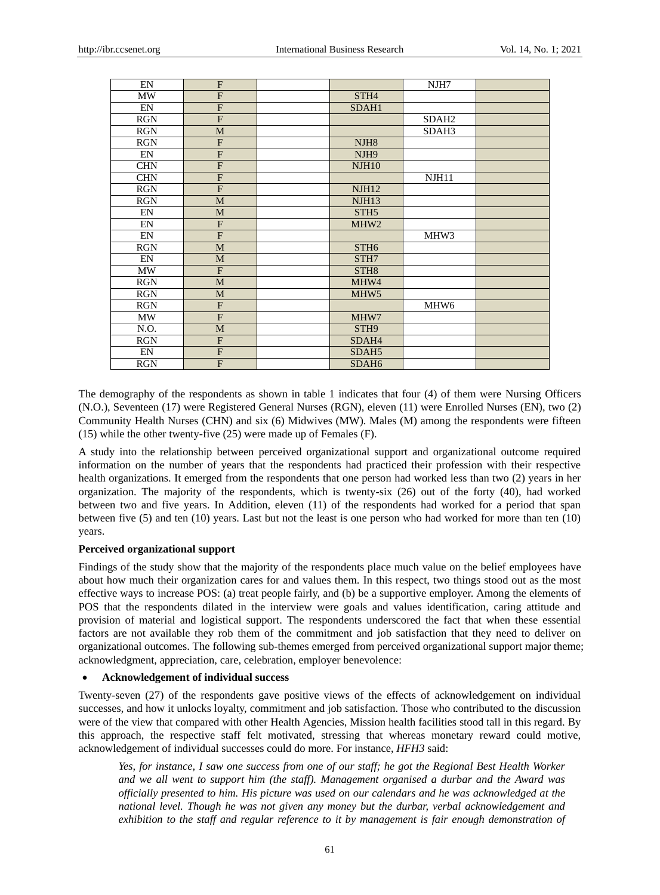| EN                         | F              |                   | NJH7              |  |
|----------------------------|----------------|-------------------|-------------------|--|
| MW                         | $\overline{F}$ | STH <sub>4</sub>  |                   |  |
| EN                         | $\overline{F}$ | SDAH1             |                   |  |
| <b>RGN</b>                 | $\overline{F}$ |                   | SDAH <sub>2</sub> |  |
| <b>RGN</b>                 | M              |                   | SDAH3             |  |
| <b>RGN</b>                 | $\overline{F}$ | NJH <sub>8</sub>  |                   |  |
| $\mathop{\rm EN}\nolimits$ | F              | NJH <sub>9</sub>  |                   |  |
| <b>CHN</b>                 | $\overline{F}$ | <b>NJH10</b>      |                   |  |
| <b>CHN</b>                 | $\overline{F}$ |                   | NJH11             |  |
| <b>RGN</b>                 | $\overline{F}$ | <b>NJH12</b>      |                   |  |
| <b>RGN</b>                 | M              | NIH13             |                   |  |
| EN                         | M              | STH <sub>5</sub>  |                   |  |
| EN                         | F              | MHW <sub>2</sub>  |                   |  |
| EN                         | $\overline{F}$ |                   | MHW3              |  |
| <b>RGN</b>                 | M              | STH <sub>6</sub>  |                   |  |
| EN                         | M              | STH7              |                   |  |
| MW                         | F              | STH <sub>8</sub>  |                   |  |
| <b>RGN</b>                 | M              | MHW4              |                   |  |
| <b>RGN</b>                 | M              | MHW <sub>5</sub>  |                   |  |
| <b>RGN</b>                 | F              |                   | MHW6              |  |
| <b>MW</b>                  | $\overline{F}$ | MHW7              |                   |  |
| N.O.                       | M              | STH <sub>9</sub>  |                   |  |
| <b>RGN</b>                 | $\overline{F}$ | SDAH4             |                   |  |
| EN                         | $\overline{F}$ | SDAH5             |                   |  |
| <b>RGN</b>                 | $\overline{F}$ | SDAH <sub>6</sub> |                   |  |

The demography of the respondents as shown in table 1 indicates that four (4) of them were Nursing Officers (N.O.), Seventeen (17) were Registered General Nurses (RGN), eleven (11) were Enrolled Nurses (EN), two (2) Community Health Nurses (CHN) and six (6) Midwives (MW). Males (M) among the respondents were fifteen (15) while the other twenty-five (25) were made up of Females (F).

A study into the relationship between perceived organizational support and organizational outcome required information on the number of years that the respondents had practiced their profession with their respective health organizations. It emerged from the respondents that one person had worked less than two (2) years in her organization. The majority of the respondents, which is twenty-six (26) out of the forty (40), had worked between two and five years. In Addition, eleven (11) of the respondents had worked for a period that span between five (5) and ten (10) years. Last but not the least is one person who had worked for more than ten (10) years.

#### **Perceived organizational support**

Findings of the study show that the majority of the respondents place much value on the belief employees have about how much their organization cares for and values them. In this respect, two things stood out as the most effective ways to increase POS: (a) treat people fairly, and (b) be a supportive employer. Among the elements of POS that the respondents dilated in the interview were goals and values identification, caring attitude and provision of material and logistical support. The respondents underscored the fact that when these essential factors are not available they rob them of the commitment and job satisfaction that they need to deliver on organizational outcomes. The following sub-themes emerged from perceived organizational support major theme; acknowledgment, appreciation, care, celebration, employer benevolence:

#### **Acknowledgement of individual success**

Twenty-seven (27) of the respondents gave positive views of the effects of acknowledgement on individual successes, and how it unlocks loyalty, commitment and job satisfaction. Those who contributed to the discussion were of the view that compared with other Health Agencies, Mission health facilities stood tall in this regard. By this approach, the respective staff felt motivated, stressing that whereas monetary reward could motive, acknowledgement of individual successes could do more. For instance, *HFH3* said:

*Yes, for instance, I saw one success from one of our staff; he got the Regional Best Health Worker and we all went to support him (the staff). Management organised a durbar and the Award was officially presented to him. His picture was used on our calendars and he was acknowledged at the national level. Though he was not given any money but the durbar, verbal acknowledgement and exhibition to the staff and regular reference to it by management is fair enough demonstration of*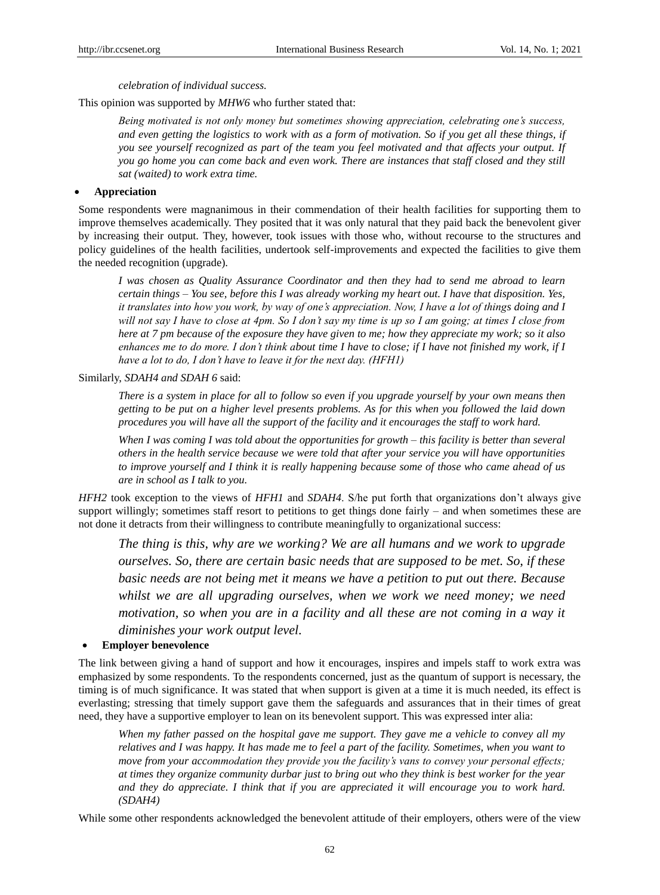*celebration of individual success.*

This opinion was supported by *MHW6* who further stated that:

*Being motivated is not only money but sometimes showing appreciation, celebrating one's success, and even getting the logistics to work with as a form of motivation. So if you get all these things, if you see yourself recognized as part of the team you feel motivated and that affects your output. If you go home you can come back and even work. There are instances that staff closed and they still sat (waited) to work extra time.*

## **Appreciation**

Some respondents were magnanimous in their commendation of their health facilities for supporting them to improve themselves academically. They posited that it was only natural that they paid back the benevolent giver by increasing their output. They, however, took issues with those who, without recourse to the structures and policy guidelines of the health facilities, undertook self-improvements and expected the facilities to give them the needed recognition (upgrade).

*I was chosen as Quality Assurance Coordinator and then they had to send me abroad to learn certain things – You see, before this I was already working my heart out. I have that disposition. Yes, it translates into how you work, by way of one's appreciation. Now, I have a lot of things doing and I will not say I have to close at 4pm. So I don't say my time is up so I am going; at times I close from here at 7 pm because of the exposure they have given to me; how they appreciate my work; so it also enhances me to do more. I don't think about time I have to close; if I have not finished my work, if I have a lot to do, I don't have to leave it for the next day. (HFH1)*

#### Similarly, *SDAH4 and SDAH 6* said:

*There is a system in place for all to follow so even if you upgrade yourself by your own means then getting to be put on a higher level presents problems. As for this when you followed the laid down procedures you will have all the support of the facility and it encourages the staff to work hard.*

*When I was coming I was told about the opportunities for growth – this facility is better than several others in the health service because we were told that after your service you will have opportunities to improve yourself and I think it is really happening because some of those who came ahead of us are in school as I talk to you.*

*HFH2* took exception to the views of *HFH1* and *SDAH4*. S/he put forth that organizations don"t always give support willingly; sometimes staff resort to petitions to get things done fairly – and when sometimes these are not done it detracts from their willingness to contribute meaningfully to organizational success:

*The thing is this, why are we working? We are all humans and we work to upgrade ourselves. So, there are certain basic needs that are supposed to be met. So, if these basic needs are not being met it means we have a petition to put out there. Because whilst we are all upgrading ourselves, when we work we need money; we need motivation, so when you are in a facility and all these are not coming in a way it diminishes your work output level.* 

## **Employer benevolence**

The link between giving a hand of support and how it encourages, inspires and impels staff to work extra was emphasized by some respondents. To the respondents concerned, just as the quantum of support is necessary, the timing is of much significance. It was stated that when support is given at a time it is much needed, its effect is everlasting; stressing that timely support gave them the safeguards and assurances that in their times of great need, they have a supportive employer to lean on its benevolent support. This was expressed inter alia:

*When my father passed on the hospital gave me support. They gave me a vehicle to convey all my relatives and I was happy. It has made me to feel a part of the facility. Sometimes, when you want to move from your accommodation they provide you the facility's vans to convey your personal effects; at times they organize community durbar just to bring out who they think is best worker for the year and they do appreciate. I think that if you are appreciated it will encourage you to work hard. (SDAH4)* 

While some other respondents acknowledged the benevolent attitude of their employers, others were of the view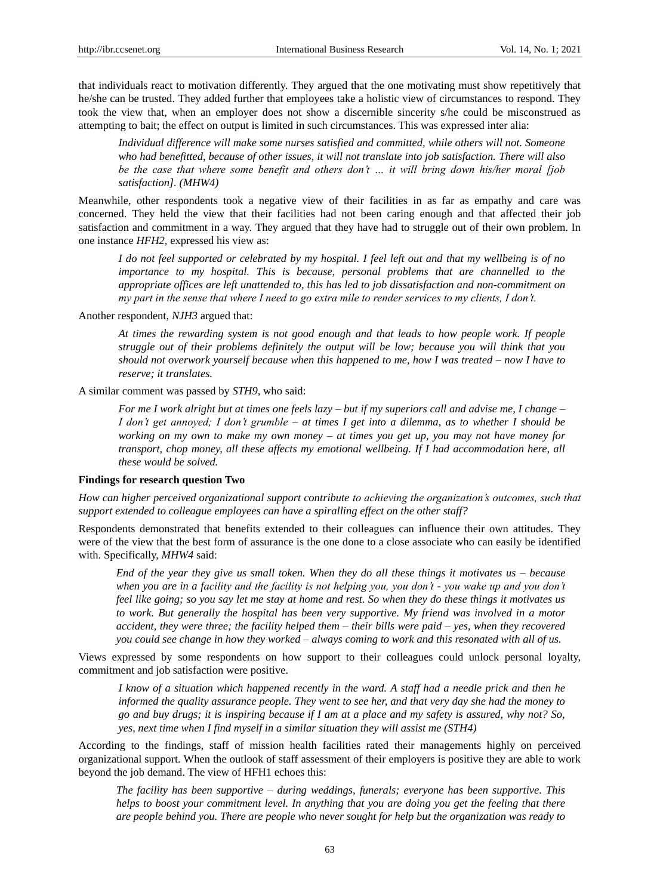that individuals react to motivation differently. They argued that the one motivating must show repetitively that he/she can be trusted. They added further that employees take a holistic view of circumstances to respond. They took the view that, when an employer does not show a discernible sincerity s/he could be misconstrued as attempting to bait; the effect on output is limited in such circumstances. This was expressed inter alia:

*Individual difference will make some nurses satisfied and committed, while others will not. Someone who had benefitted, because of other issues, it will not translate into job satisfaction. There will also be the case that where some benefit and others don't … it will bring down his/her moral [job satisfaction]. (MHW4)* 

Meanwhile, other respondents took a negative view of their facilities in as far as empathy and care was concerned. They held the view that their facilities had not been caring enough and that affected their job satisfaction and commitment in a way. They argued that they have had to struggle out of their own problem. In one instance *HFH2,* expressed his view as:

*I do not feel supported or celebrated by my hospital. I feel left out and that my wellbeing is of no importance to my hospital. This is because, personal problems that are channelled to the appropriate offices are left unattended to, this has led to job dissatisfaction and non-commitment on my part in the sense that where I need to go extra mile to render services to my clients, I don't.*

Another respondent, *NJH3* argued that:

*At times the rewarding system is not good enough and that leads to how people work. If people struggle out of their problems definitely the output will be low; because you will think that you should not overwork yourself because when this happened to me, how I was treated – now I have to reserve; it translates.* 

A similar comment was passed by *STH9,* who said:

*For me I work alright but at times one feels lazy – but if my superiors call and advise me, I change – I don't get annoyed; I don't grumble – at times I get into a dilemma, as to whether I should be working on my own to make my own money – at times you get up, you may not have money for transport, chop money, all these affects my emotional wellbeing. If I had accommodation here, all these would be solved.* 

#### **Findings for research question Two**

*How can higher perceived organizational support contribute to achieving the organization's outcomes, such that support extended to colleague employees can have a spiralling effect on the other staff?*

Respondents demonstrated that benefits extended to their colleagues can influence their own attitudes. They were of the view that the best form of assurance is the one done to a close associate who can easily be identified with. Specifically, *MHW4* said:

*End of the year they give us small token. When they do all these things it motivates us – because when you are in a facility and the facility is not helping you, you don't - you wake up and you don't feel like going; so you say let me stay at home and rest. So when they do these things it motivates us to work. But generally the hospital has been very supportive. My friend was involved in a motor accident, they were three; the facility helped them – their bills were paid – yes, when they recovered you could see change in how they worked – always coming to work and this resonated with all of us.* 

Views expressed by some respondents on how support to their colleagues could unlock personal loyalty, commitment and job satisfaction were positive.

*I know of a situation which happened recently in the ward. A staff had a needle prick and then he informed the quality assurance people. They went to see her, and that very day she had the money to go and buy drugs; it is inspiring because if I am at a place and my safety is assured, why not? So, yes, next time when I find myself in a similar situation they will assist me (STH4)*

According to the findings, staff of mission health facilities rated their managements highly on perceived organizational support. When the outlook of staff assessment of their employers is positive they are able to work beyond the job demand. The view of HFH1 echoes this:

*The facility has been supportive – during weddings, funerals; everyone has been supportive. This helps to boost your commitment level. In anything that you are doing you get the feeling that there are people behind you. There are people who never sought for help but the organization was ready to*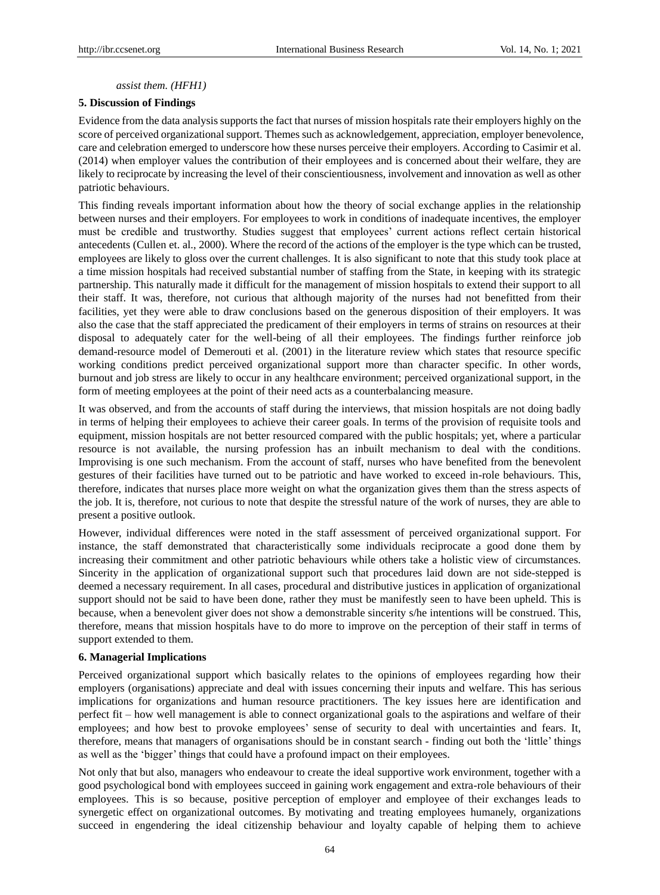#### *assist them. (HFH1)*

#### **5. Discussion of Findings**

Evidence from the data analysis supports the fact that nurses of mission hospitals rate their employers highly on the score of perceived organizational support. Themes such as acknowledgement, appreciation, employer benevolence, care and celebration emerged to underscore how these nurses perceive their employers. According to Casimir et al. (2014) when employer values the contribution of their employees and is concerned about their welfare, they are likely to reciprocate by increasing the level of their conscientiousness, involvement and innovation as well as other patriotic behaviours.

This finding reveals important information about how the theory of social exchange applies in the relationship between nurses and their employers. For employees to work in conditions of inadequate incentives, the employer must be credible and trustworthy. Studies suggest that employees" current actions reflect certain historical antecedents (Cullen et. al., 2000). Where the record of the actions of the employer is the type which can be trusted, employees are likely to gloss over the current challenges. It is also significant to note that this study took place at a time mission hospitals had received substantial number of staffing from the State, in keeping with its strategic partnership. This naturally made it difficult for the management of mission hospitals to extend their support to all their staff. It was, therefore, not curious that although majority of the nurses had not benefitted from their facilities, yet they were able to draw conclusions based on the generous disposition of their employers. It was also the case that the staff appreciated the predicament of their employers in terms of strains on resources at their disposal to adequately cater for the well-being of all their employees. The findings further reinforce job demand-resource model of Demerouti et al. (2001) in the literature review which states that resource specific working conditions predict perceived organizational support more than character specific. In other words, burnout and job stress are likely to occur in any healthcare environment; perceived organizational support, in the form of meeting employees at the point of their need acts as a counterbalancing measure.

It was observed, and from the accounts of staff during the interviews, that mission hospitals are not doing badly in terms of helping their employees to achieve their career goals. In terms of the provision of requisite tools and equipment, mission hospitals are not better resourced compared with the public hospitals; yet, where a particular resource is not available, the nursing profession has an inbuilt mechanism to deal with the conditions. Improvising is one such mechanism. From the account of staff, nurses who have benefited from the benevolent gestures of their facilities have turned out to be patriotic and have worked to exceed in-role behaviours. This, therefore, indicates that nurses place more weight on what the organization gives them than the stress aspects of the job. It is, therefore, not curious to note that despite the stressful nature of the work of nurses, they are able to present a positive outlook.

However, individual differences were noted in the staff assessment of perceived organizational support. For instance, the staff demonstrated that characteristically some individuals reciprocate a good done them by increasing their commitment and other patriotic behaviours while others take a holistic view of circumstances. Sincerity in the application of organizational support such that procedures laid down are not side-stepped is deemed a necessary requirement. In all cases, procedural and distributive justices in application of organizational support should not be said to have been done, rather they must be manifestly seen to have been upheld. This is because, when a benevolent giver does not show a demonstrable sincerity s/he intentions will be construed. This, therefore, means that mission hospitals have to do more to improve on the perception of their staff in terms of support extended to them.

#### **6. Managerial Implications**

Perceived organizational support which basically relates to the opinions of employees regarding how their employers (organisations) appreciate and deal with issues concerning their inputs and welfare. This has serious implications for organizations and human resource practitioners. The key issues here are identification and perfect fit – how well management is able to connect organizational goals to the aspirations and welfare of their employees; and how best to provoke employees' sense of security to deal with uncertainties and fears. It, therefore, means that managers of organisations should be in constant search - finding out both the "little" things as well as the 'bigger' things that could have a profound impact on their employees.

Not only that but also, managers who endeavour to create the ideal supportive work environment, together with a good psychological bond with employees succeed in gaining work engagement and extra-role behaviours of their employees. This is so because, positive perception of employer and employee of their exchanges leads to synergetic effect on organizational outcomes. By motivating and treating employees humanely, organizations succeed in engendering the ideal citizenship behaviour and loyalty capable of helping them to achieve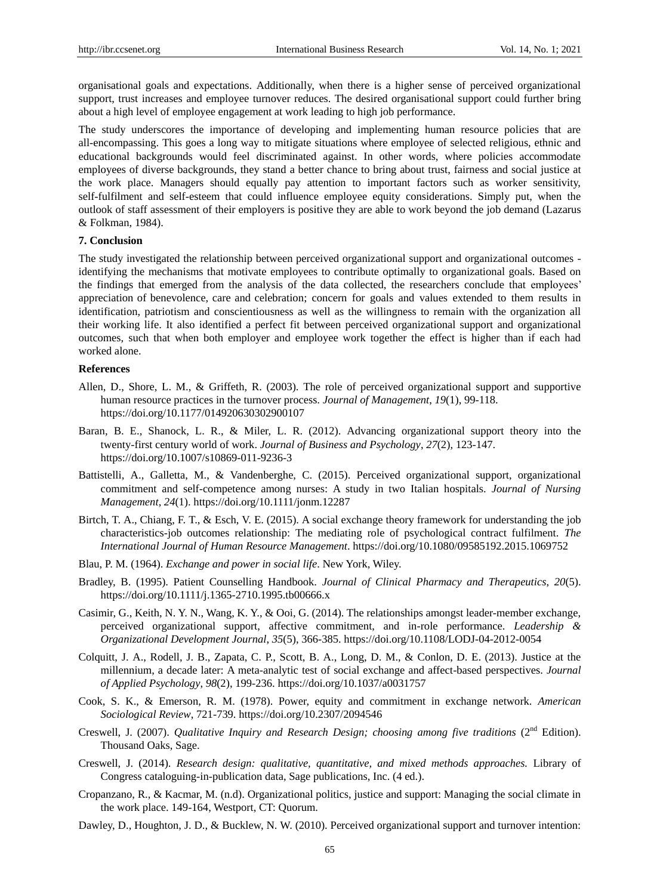organisational goals and expectations. Additionally, when there is a higher sense of perceived organizational support, trust increases and employee turnover reduces. The desired organisational support could further bring about a high level of employee engagement at work leading to high job performance.

The study underscores the importance of developing and implementing human resource policies that are all-encompassing. This goes a long way to mitigate situations where employee of selected religious, ethnic and educational backgrounds would feel discriminated against. In other words, where policies accommodate employees of diverse backgrounds, they stand a better chance to bring about trust, fairness and social justice at the work place. Managers should equally pay attention to important factors such as worker sensitivity, self-fulfilment and self-esteem that could influence employee equity considerations. Simply put, when the outlook of staff assessment of their employers is positive they are able to work beyond the job demand (Lazarus & Folkman, 1984).

## **7. Conclusion**

The study investigated the relationship between perceived organizational support and organizational outcomes identifying the mechanisms that motivate employees to contribute optimally to organizational goals. Based on the findings that emerged from the analysis of the data collected, the researchers conclude that employees" appreciation of benevolence, care and celebration; concern for goals and values extended to them results in identification, patriotism and conscientiousness as well as the willingness to remain with the organization all their working life. It also identified a perfect fit between perceived organizational support and organizational outcomes, such that when both employer and employee work together the effect is higher than if each had worked alone.

#### **References**

- Allen, D., Shore, L. M., & Griffeth, R. (2003). The role of perceived organizational support and supportive human resource practices in the turnover process*. Journal of Management*, *19*(1), 99-118. https://doi.org/10.1177/014920630302900107
- Baran, B. E., Shanock, L. R., & Miler, L. R. (2012). Advancing organizational support theory into the twenty-first century world of work. *Journal of Business and Psychology*, *27*(2), 123-147. https://doi.org/10.1007/s10869-011-9236-3
- Battistelli, A., Galletta, M., & Vandenberghe, C. (2015). Perceived organizational support, organizational commitment and self-competence among nurses: A study in two Italian hospitals. *Journal of Nursing Management*, *24*(1). https://doi.org/10.1111/jonm.12287
- Birtch, T. A., Chiang, F. T., & Esch, V. E. (2015). A social exchange theory framework for understanding the job characteristics-job outcomes relationship: The mediating role of psychological contract fulfilment. *The International Journal of Human Resource Management*. https://doi.org/10.1080/09585192.2015.1069752
- Blau, P. M. (1964). *Exchange and power in social life*. New York, Wiley.
- Bradley, B. (1995). Patient Counselling Handbook. *Journal of Clinical Pharmacy and Therapeutics*, *20*(5). https://doi.org/10.1111/j.1365-2710.1995.tb00666.x
- Casimir, G., Keith, N. Y. N., Wang, K. Y., & Ooi, G. (2014). The relationships amongst leader-member exchange, perceived organizational support, affective commitment, and in-role performance. *Leadership & Organizational Development Journal*, *35*(5), 366-385. https://doi.org/10.1108/LODJ-04-2012-0054
- Colquitt, J. A., Rodell, J. B., Zapata, C. P., Scott, B. A., Long, D. M., & Conlon, D. E. (2013). Justice at the millennium, a decade later: A meta-analytic test of social exchange and affect-based perspectives. *Journal of Applied Psychology*, *98*(2), 199-236. https://doi.org/10.1037/a0031757
- Cook, S. K., & Emerson, R. M. (1978). Power, equity and commitment in exchange network. *American Sociological Review*, 721-739. https://doi.org/10.2307/2094546
- Creswell, J. (2007). *Qualitative Inquiry and Research Design; choosing among five traditions* (2<sup>nd</sup> Edition). Thousand Oaks, Sage.
- Creswell, J. (2014). *Research design: qualitative, quantitative, and mixed methods approaches.* Library of Congress cataloguing-in-publication data, Sage publications, Inc. (4 ed.).
- Cropanzano, R., & Kacmar, M. (n.d). Organizational politics, justice and support: Managing the social climate in the work place. 149-164, Westport, CT: Quorum.
- Dawley, D., Houghton, J. D., & Bucklew, N. W. (2010). Perceived organizational support and turnover intention: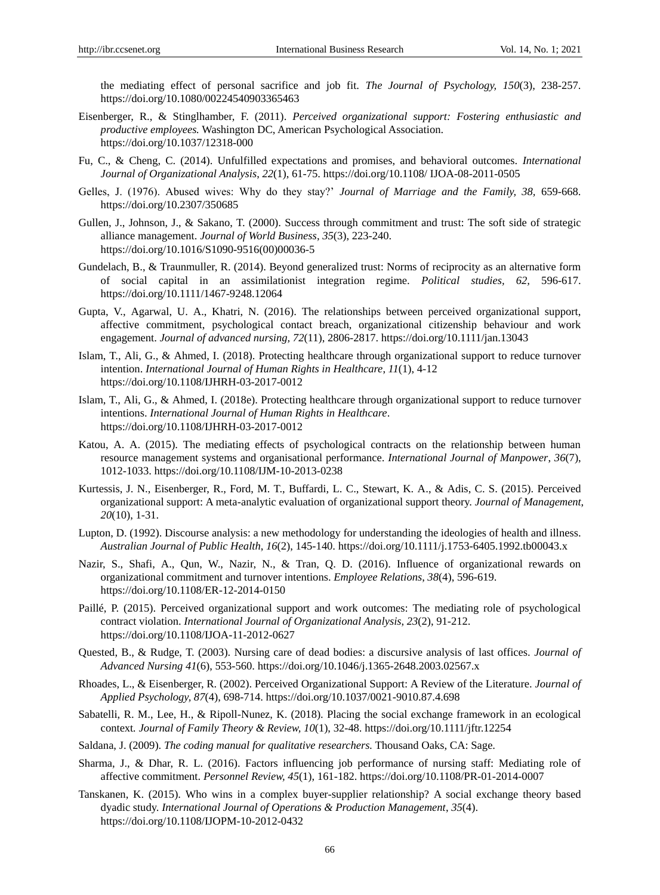the mediating effect of personal sacrifice and job fit. *The Journal of Psychology, 150*(3), 238-257. https://doi.org/10.1080/00224540903365463

- Eisenberger, R., & Stinglhamber, F. (2011). *Perceived organizational support: Fostering enthusiastic and productive employees.* Washington DC, American Psychological Association. https://doi.org/10.1037/12318-000
- Fu, C., & Cheng, C. (2014). Unfulfilled expectations and promises, and behavioral outcomes. *International Journal of Organizational Analysis*, *22*(1), 61-75. https://doi.org/10.1108/ IJOA-08-2011-0505
- Gelles, J. (1976). Abused wives: Why do they stay?" *Journal of Marriage and the Family, 38,* 659-668. https://doi.org/10.2307/350685
- Gullen, J., Johnson, J., & Sakano, T. (2000). Success through commitment and trust: The soft side of strategic alliance management. *Journal of World Business*, *35*(3), 223-240. https://doi.org/10.1016/S1090-9516(00)00036-5
- Gundelach, B., & Traunmuller, R. (2014). Beyond generalized trust: Norms of reciprocity as an alternative form of social capital in an assimilationist integration regime. *Political studies, 62,* 596-617. https://doi.org/10.1111/1467-9248.12064
- Gupta, V., Agarwal, U. A., Khatri, N. (2016). The relationships between perceived organizational support, affective commitment, psychological contact breach, organizational citizenship behaviour and work engagement. *Journal of advanced nursing, 72*(11), 2806-2817. https://doi.org/10.1111/jan.13043
- Islam, T., Ali, G., & Ahmed, I. (2018). Protecting healthcare through organizational support to reduce turnover intention. *International Journal of Human Rights in Healthcare*, *11*(1), 4-12 https://doi.org/10.1108/IJHRH-03-2017-0012
- Islam, T., Ali, G., & Ahmed, I. (2018e). Protecting healthcare through organizational support to reduce turnover intentions. *International Journal of Human Rights in Healthcare*. https://doi.org/10.1108/IJHRH-03-2017-0012
- Katou, A. A. (2015). The mediating effects of psychological contracts on the relationship between human resource management systems and organisational performance. *International Journal of Manpower*, *36*(7), 1012-1033. https://doi.org/10.1108/IJM-10-2013-0238
- Kurtessis, J. N., Eisenberger, R., Ford, M. T., Buffardi, L. C., Stewart, K. A., & Adis, C. S. (2015). Perceived organizational support: A meta-analytic evaluation of organizational support theory. *Journal of Management*, *20*(10), 1-31.
- Lupton, D. (1992). Discourse analysis: a new methodology for understanding the ideologies of health and illness. *Australian Journal of Public Health*, *16*(2), 145-140. https://doi.org/10.1111/j.1753-6405.1992.tb00043.x
- Nazir, S., Shafi, A., Qun, W., Nazir, N., & Tran, Q. D. (2016). Influence of organizational rewards on organizational commitment and turnover intentions. *Employee Relations*, *38*(4), 596-619. https://doi.org/10.1108/ER-12-2014-0150
- Paillé, P. (2015). Perceived organizational support and work outcomes: The mediating role of psychological contract violation. *International Journal of Organizational Analysis*, *23*(2), 91-212. https://doi.org/10.1108/IJOA-11-2012-0627
- Quested, B., & Rudge, T. (2003). Nursing care of dead bodies: a discursive analysis of last offices. *Journal of Advanced Nursing 41*(6), 553-560. https://doi.org/10.1046/j.1365-2648.2003.02567.x
- Rhoades, L., & Eisenberger, R. (2002). Perceived Organizational Support: A Review of the Literature. *Journal of Applied Psychology, 87*(4), 698-714. https://doi.org/10.1037/0021-9010.87.4.698
- Sabatelli, R. M., Lee, H., & Ripoll-Nunez, K. (2018). Placing the social exchange framework in an ecological context*. Journal of Family Theory & Review, 10*(1), 32-48. https://doi.org/10.1111/jftr.12254
- Saldana, J. (2009). *The coding manual for qualitative researchers.* Thousand Oaks, CA: Sage.
- Sharma, J., & Dhar, R. L. (2016). Factors influencing job performance of nursing staff: Mediating role of affective commitment. *Personnel Review, 45*(1), 161-182. https://doi.org/10.1108/PR-01-2014-0007
- Tanskanen, K. (2015). Who wins in a complex buyer-supplier relationship? A social exchange theory based dyadic study. *International Journal of Operations & Production Management*, *35*(4). https://doi.org/10.1108/IJOPM-10-2012-0432